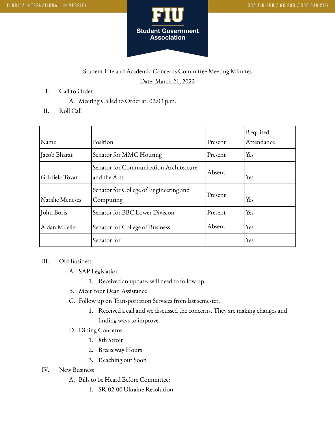

## Student Life and Academic Concerns Committee Meeting Minutes Date: March 21, 2022

- I. Call to Order
	- A. Meeting Called to Order at: 02:03 p.m.
- II. Roll Call

| Name            | Position                                               | Present | Required<br>Attendance |
|-----------------|--------------------------------------------------------|---------|------------------------|
| Jacob Bharat    | Senator for MMC Housing                                | Present | Yes                    |
| Gabriela Tovar  | Senator for Communication Architecture<br>and the Arts | Absent  | Yes                    |
| Natalie Meneses | Senator for College of Engineering and<br>Computing    | Present | Yes                    |
| John Boris      | Senator for BBC Lower Division                         | Present | Yes                    |
| Aidan Mueller   | Senator for College of Business                        | Absent  | Yes                    |
|                 | Senator for                                            |         | Yes                    |

## III. Old Business

- A. SAP Legislation
	- 1. Received an update, will need to follow up.
- B. Meet Your Dean Assistance
- C. Follow up on Transportation Services from last semester.
	- 1. Received a call and we discussed the concerns. They are making changes and finding ways to improve.
- D. Dining Concerns
	- 1. 8th Street
	- 2. Breezeway Hours
	- 3. Reaching out Soon
- IV. New Business
	- A. Bills to be Heard Before Committee:
		- 1. SR-02-00 Ukraine Resolution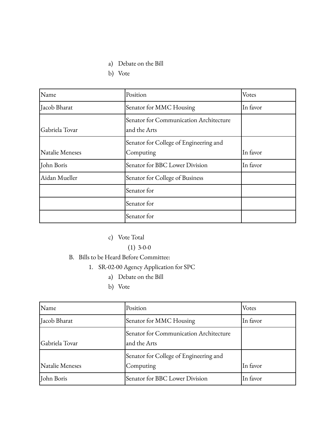- a) Debate on the Bill
- b) Vote

| Name            | Position                                               | Votes    |
|-----------------|--------------------------------------------------------|----------|
| Jacob Bharat    | Senator for MMC Housing                                | In favor |
| Gabriela Tovar  | Senator for Communication Architecture<br>and the Arts |          |
| Natalie Meneses | Senator for College of Engineering and<br>Computing    | In favor |
| John Boris      | Senator for BBC Lower Division                         | In favor |
| Aidan Mueller   | Senator for College of Business                        |          |
|                 | Senator for                                            |          |
|                 | Senator for                                            |          |
|                 | Senator for                                            |          |

- c) Vote Total
	- $(1)$  3-0-0
- B. Bills to be Heard Before Committee:
	- 1. SR-02-00 Agency Application for SPC
		- a) Debate on the Bill
		- b) Vote

| Name            | Position                                               | Votes    |
|-----------------|--------------------------------------------------------|----------|
| Jacob Bharat    | Senator for MMC Housing                                | In favor |
| Gabriela Tovar  | Senator for Communication Architecture<br>and the Arts |          |
| Natalie Meneses | Senator for College of Engineering and<br>Computing    | In favor |
| John Boris      | Senator for BBC Lower Division                         | In favor |